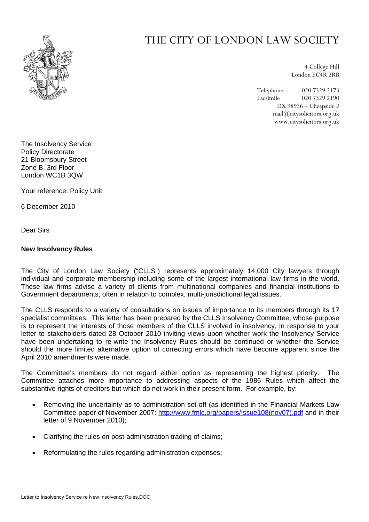

## THE CITY OF LONDON LAW SOCIETY

4 College Hill London EC4R 2RB

Telephone 020 7329 2173 Facsimile 020 7329 2190 DX 98936 – Cheapside 2 mail@citysolicitors.org.uk www.citysolicitors.org.uk

The Insolvency Service Policy Directorate 21 Bloomsbury Street Zone B, 3rd Floor London WC1B 3QW

Your reference: Policy Unit

6 December 2010

Dear Sirs

## **New Insolvency Rules**

The City of London Law Society ("CLLS") represents approximately 14,000 City lawyers through individual and corporate membership including some of the largest international law firms in the world. These law firms advise a variety of clients from multinational companies and financial institutions to Government departments, often in relation to complex, multi-jurisdictional legal issues.

The CLLS responds to a variety of consultations on issues of importance to its members through its 17 specialist committees. This letter has been prepared by the CLLS Insolvency Committee, whose purpose is to represent the interests of those members of the CLLS involved in insolvency, in response to your letter to stakeholders dated 28 October 2010 inviting views upon whether work the Insolvency Service have been undertaking to re-write the Insolvency Rules should be continued or whether the Service should the more limited alternative option of correcting errors which have become apparent since the April 2010 amendments were made.

The Committee's members do not regard either option as representing the highest priority. The Committee attaches more importance to addressing aspects of the 1986 Rules which affect the substantive rights of creditors but which do not work in their present form. For example, by:

- Removing the uncertainty as to administration set-off (as identified in the Financial Markets Law Committee paper of November 2007: [http://www.fmlc.org/papers/Issue108\(nov07\).pdf](http://www.fmlc.org/papers/Issue108(nov07).pdf) and in their letter of 9 November 2010);
- Clarifying the rules on post-administration trading of claims;
- Reformulating the rules regarding administration expenses;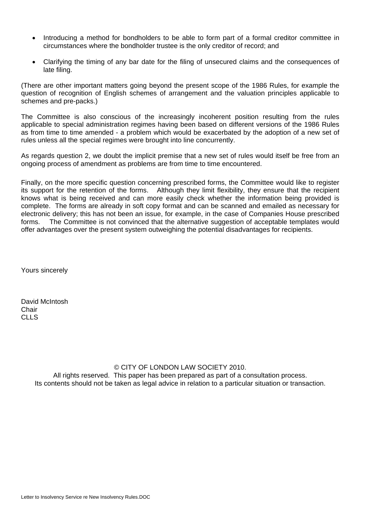- Introducing a method for bondholders to be able to form part of a formal creditor committee in circumstances where the bondholder trustee is the only creditor of record; and
- Clarifying the timing of any bar date for the filing of unsecured claims and the consequences of late filing.

(There are other important matters going beyond the present scope of the 1986 Rules, for example the question of recognition of English schemes of arrangement and the valuation principles applicable to schemes and pre-packs.)

The Committee is also conscious of the increasingly incoherent position resulting from the rules applicable to special administration regimes having been based on different versions of the 1986 Rules as from time to time amended - a problem which would be exacerbated by the adoption of a new set of rules unless all the special regimes were brought into line concurrently.

As regards question 2, we doubt the implicit premise that a new set of rules would itself be free from an ongoing process of amendment as problems are from time to time encountered.

Finally, on the more specific question concerning prescribed forms, the Committee would like to register its support for the retention of the forms. Although they limit flexibility, they ensure that the recipient knows what is being received and can more easily check whether the information being provided is complete. The forms are already in soft copy format and can be scanned and emailed as necessary for electronic delivery; this has not been an issue, for example, in the case of Companies House prescribed forms. The Committee is not convinced that the alternative suggestion of acceptable templates would offer advantages over the present system outweighing the potential disadvantages for recipients.

Yours sincerely

David McIntosh **Chair** CLL<sub>S</sub>

## © CITY OF LONDON LAW SOCIETY 2010.

All rights reserved. This paper has been prepared as part of a consultation process. Its contents should not be taken as legal advice in relation to a particular situation or transaction.